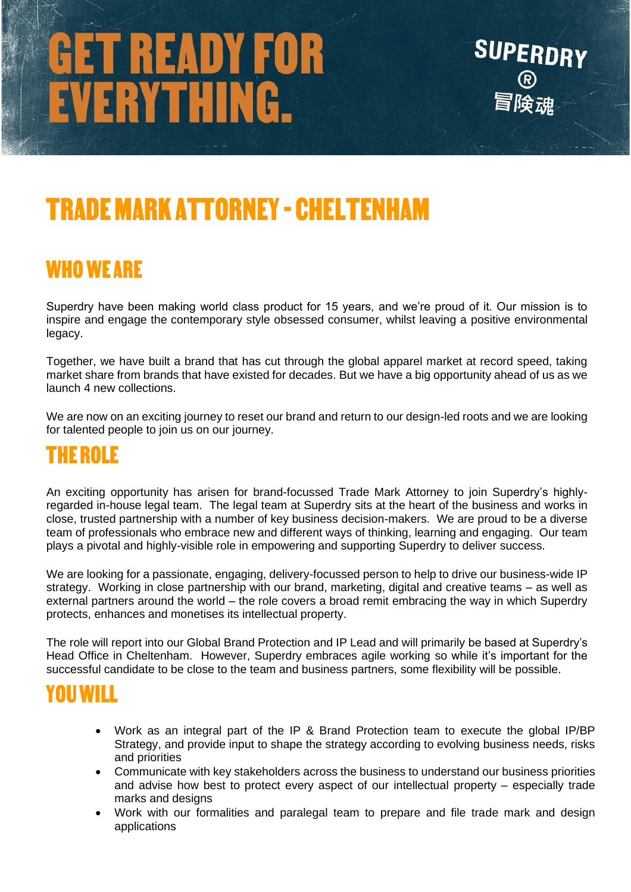# GET READY FOR<br>EVERYTHING.



### TRADE MARK ATTORNEY-CHELTENHAM

#### WHO WE ARE

Superdry have been making world class product for 15 years, and we're proud of it. Our mission is to inspire and engage the contemporary style obsessed consumer, whilst leaving a positive environmental legacy.

Together, we have built a brand that has cut through the global apparel market at record speed, taking market share from brands that have existed for decades. But we have a big opportunity ahead of us as we launch 4 new collections.

We are now on an exciting journey to reset our brand and return to our design-led roots and we are looking for talented people to join us on our journey.

#### IF ROLF

An exciting opportunity has arisen for brand-focussed Trade Mark Attorney to join Superdry's highlyregarded in-house legal team. The legal team at Superdry sits at the heart of the business and works in close, trusted partnership with a number of key business decision-makers. We are proud to be a diverse team of professionals who embrace new and different ways of thinking, learning and engaging. Our team plays a pivotal and highly-visible role in empowering and supporting Superdry to deliver success.

We are looking for a passionate, engaging, delivery-focussed person to help to drive our business-wide IP strategy. Working in close partnership with our brand, marketing, digital and creative teams – as well as external partners around the world – the role covers a broad remit embracing the way in which Superdry protects, enhances and monetises its intellectual property.

The role will report into our Global Brand Protection and IP Lead and will primarily be based at Superdry's Head Office in Cheltenham. However, Superdry embraces agile working so while it's important for the successful candidate to be close to the team and business partners, some flexibility will be possible.

#### YOU WILL

- Work as an integral part of the IP & Brand Protection team to execute the global IP/BP Strategy, and provide input to shape the strategy according to evolving business needs, risks and priorities
- Communicate with key stakeholders across the business to understand our business priorities and advise how best to protect every aspect of our intellectual property – especially trade marks and designs
- Work with our formalities and paralegal team to prepare and file trade mark and design applications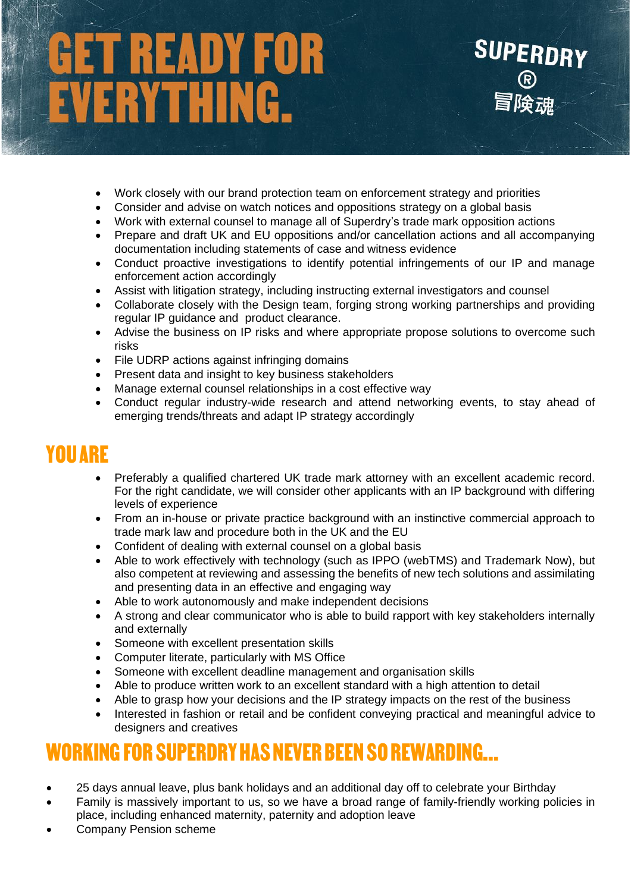## ET READY FOR<br>VERYTHING.

- Work closely with our brand protection team on enforcement strategy and priorities
- Consider and advise on watch notices and oppositions strategy on a global basis
- Work with external counsel to manage all of Superdry's trade mark opposition actions
- Prepare and draft UK and EU oppositions and/or cancellation actions and all accompanying documentation including statements of case and witness evidence

**SUPERDRY** 

- Conduct proactive investigations to identify potential infringements of our IP and manage enforcement action accordingly
- Assist with litigation strategy, including instructing external investigators and counsel
- Collaborate closely with the Design team, forging strong working partnerships and providing regular IP guidance and product clearance.
- Advise the business on IP risks and where appropriate propose solutions to overcome such risks
- File UDRP actions against infringing domains
- Present data and insight to key business stakeholders
- Manage external counsel relationships in a cost effective way
- Conduct regular industry-wide research and attend networking events, to stay ahead of emerging trends/threats and adapt IP strategy accordingly

#### YOU ARE

- Preferably a qualified chartered UK trade mark attorney with an excellent academic record. For the right candidate, we will consider other applicants with an IP background with differing levels of experience
- From an in-house or private practice background with an instinctive commercial approach to trade mark law and procedure both in the UK and the EU
- Confident of dealing with external counsel on a global basis
- Able to work effectively with technology (such as IPPO (webTMS) and Trademark Now), but also competent at reviewing and assessing the benefits of new tech solutions and assimilating and presenting data in an effective and engaging way
- Able to work autonomously and make independent decisions
- A strong and clear communicator who is able to build rapport with key stakeholders internally and externally
- Someone with excellent presentation skills
- Computer literate, particularly with MS Office
- Someone with excellent deadline management and organisation skills
- Able to produce written work to an excellent standard with a high attention to detail
- Able to grasp how your decisions and the IP strategy impacts on the rest of the business
- Interested in fashion or retail and be confident conveying practical and meaningful advice to designers and creatives

#### WORKING FOR SUPERDRY HAS NEVER BEEN SO REWARDING…..

- 25 days annual leave, plus bank holidays and an additional day off to celebrate your Birthday
- Family is massively important to us, so we have a broad range of family-friendly working policies in place, including enhanced maternity, paternity and adoption leave
- Company Pension scheme